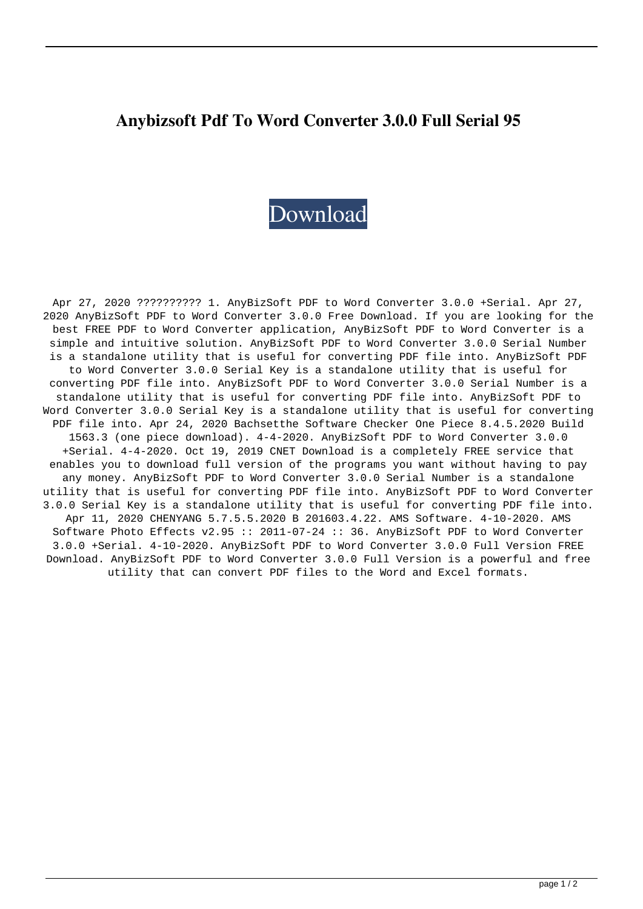## **Anybizsoft Pdf To Word Converter 3.0.0 Full Serial 95**

## [Download](http://evacdir.com/algar/deewane/parapenting.biorhythmic/shannan/ZG93bmxvYWR8U004TVRoMmFueDhNVFkxTWpjME1EZzJObng4TWpVM05IeDhLRTBwSUhKbFlXUXRZbXh2WnlCYlJtRnpkQ0JIUlU1ZA/farish?YW55Yml6c29mdCBwZGYgdG8gd29yZCBjb252ZXJ0ZXIgMy4wLjAgZnVsbCBzZXJpYWwgOTUYW5)

Apr 27, 2020 ?????????? 1. AnyBizSoft PDF to Word Converter 3.0.0 +Serial. Apr 27, 2020 AnyBizSoft PDF to Word Converter 3.0.0 Free Download. If you are looking for the best FREE PDF to Word Converter application, AnyBizSoft PDF to Word Converter is a simple and intuitive solution. AnyBizSoft PDF to Word Converter 3.0.0 Serial Number is a standalone utility that is useful for converting PDF file into. AnyBizSoft PDF to Word Converter 3.0.0 Serial Key is a standalone utility that is useful for converting PDF file into. AnyBizSoft PDF to Word Converter 3.0.0 Serial Number is a standalone utility that is useful for converting PDF file into. AnyBizSoft PDF to Word Converter 3.0.0 Serial Key is a standalone utility that is useful for converting PDF file into. Apr 24, 2020 Bachsetthe Software Checker One Piece 8.4.5.2020 Build 1563.3 (one piece download). 4-4-2020. AnyBizSoft PDF to Word Converter 3.0.0 +Serial. 4-4-2020. Oct 19, 2019 CNET Download is a completely FREE service that enables you to download full version of the programs you want without having to pay any money. AnyBizSoft PDF to Word Converter 3.0.0 Serial Number is a standalone utility that is useful for converting PDF file into. AnyBizSoft PDF to Word Converter 3.0.0 Serial Key is a standalone utility that is useful for converting PDF file into. Apr 11, 2020 CHENYANG 5.7.5.5.2020 B 201603.4.22. AMS Software. 4-10-2020. AMS Software Photo Effects v2.95 :: 2011-07-24 :: 36. AnyBizSoft PDF to Word Converter 3.0.0 +Serial. 4-10-2020. AnyBizSoft PDF to Word Converter 3.0.0 Full Version FREE Download. AnyBizSoft PDF to Word Converter 3.0.0 Full Version is a powerful and free utility that can convert PDF files to the Word and Excel formats.